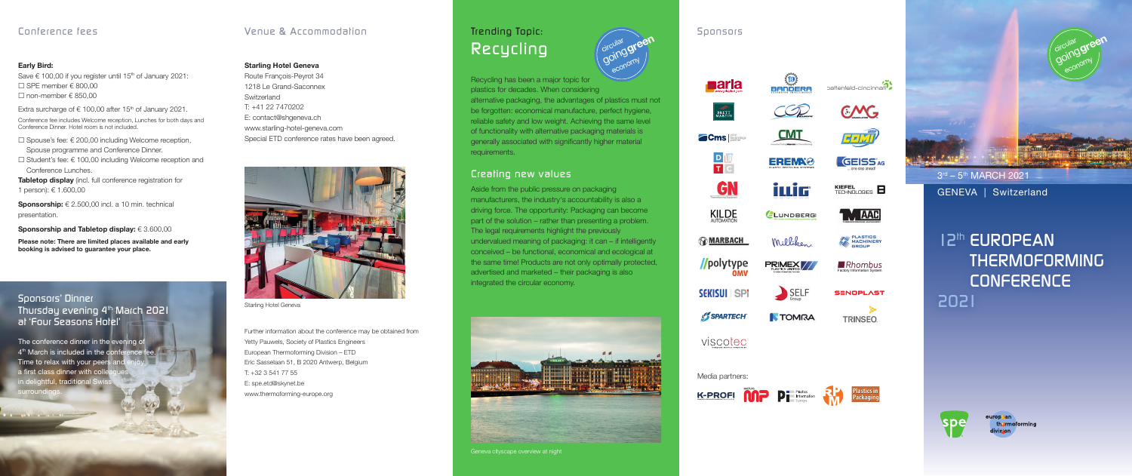*!Rhombus* Factory Information System

**SENOPLAST** 

**TRINSEO** 

PLASTICS<br>MACHINERY

battenfeld-cincinnati<sup>2</sup>

 $CMC$ 

百可以

**GEISS**AG

KIEFEL<br>TECHNOLOGIES **E** 

**TM AAC** 









3<sup>rd</sup> – 5<sup>th</sup> MARCH 2021 GENEVA | Switzerland

viscotec

*12th EUROPEAN THERMOFORMING CONFERENCE 2021*



europpan thormoforming



 Further information about the conference may be obtained from Yetty Pauwels, Society of Plastics Engineers European Thermoforming Division – ETD Eric Sasselaan 51, B 2020 Antwerp, Belgium T: +32 3 541 77 55 E: spe.etd@skynet.be www.thermoforming-europe.org

Starling Hotel Geneva

### Starling Hotel Geneva

Route François-Peyrot 34 1218 Le Grand-Saconnex Switzerland T: +41 22 7470202 E: contact@shgeneva.ch www.starling-hotel-geneva.com Special ETD conference rates have been agreed.



Tabletop display (incl. full conference registration for 1 person): € 1.600,00

Sponsorship:  $\epsilon$  2.500,00 incl. a 10 min. technical presentation.

Sponsorship and Tabletop display: € 3.600.00

# *Venue & Accommodation Sponsors*

#### Early Bird:

Save € 100,00 if you register until 15<sup>th</sup> of January 2021:  $\Box$  SPE member  $\epsilon$  800,00  $\Box$  non-member  $\in$  850,00

Extra surcharge of  $\epsilon$  100,00 after 15<sup>th</sup> of January 2021.

Recycling has been a major topic for plastics for decades. When considering alternative packaging, the advantages of plastics must not be forgotten: economical manufacture, perfect hygiene, reliable safety and low weight. Achieving the same level of functionality with alternative packaging materials is generally associated with significantly higher material requirements. economy

circular green

Conference fee includes Welcome reception, Lunches for both days and Conference Dinner. Hotel room is not included.

 $□$  Spouse's fee: € 200,00 including Welcome reception,

Spouse programme and Conference Dinner. £ Student's fee: € 100,00 including Welcome reception and Conference Lunches.

Please note: There are limited places available and early booking is advised to guarantee your place.

# *Conference fees*

# *Sponsors' Dinner Thursday evening 4th March 2021 at 'Four Seasons Hotel'*

The conference dinner in the evening of<br> $4<sup>th</sup>$  March is included in the conference fee. Time to relax with your peers and a first class dinner with colle in delightful, traditional S urround

# *Trending Topic: Recycling*

# *Creating new values*

Aside from the public pressure on packaging manufacturers, the industry's accountability is also a driving force. The opportunity: Packaging can become part of the solution – rather than presenting a problem. The legal requirements highlight the previously undervalued meaning of packaging: it can – if intelligently conceived – be functional, economical and ecological at the same time! Products are not only optimally protected, advertised and marketed – their packaging is also integrated the circular economy.







**Impulse für Kunststoffverarbeiter | www.k-pro .d e**



 $\circledR$ 

 $CMT$ 

**EREMA®** 

iwiG

LUNDBERG

Milliken,

PRIMEX //

 $\sum$ SELF

**TOMRA** 



**KILDE** 



//polytype

**SEKISUI SPI** 



Media partners: